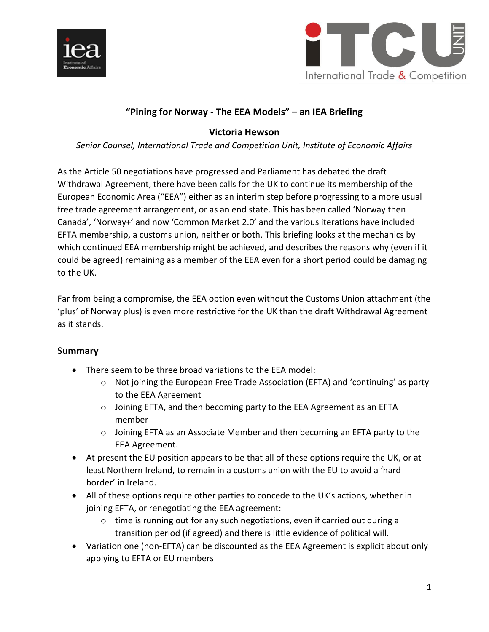



# **"Pining for Norway - The EEA Models" – an IEA Briefing**

## **Victoria Hewson**

*Senior Counsel, International Trade and Competition Unit, Institute of Economic Affairs*

As the Article 50 negotiations have progressed and Parliament has debated the draft Withdrawal Agreement, there have been calls for the UK to continue its membership of the European Economic Area ("EEA") either as an interim step before progressing to a more usual free trade agreement arrangement, or as an end state. This has been called 'Norway then Canada', 'Norway+' and now 'Common Market 2.0' and the various iterations have included EFTA membership, a customs union, neither or both. This briefing looks at the mechanics by which continued EEA membership might be achieved, and describes the reasons why (even if it could be agreed) remaining as a member of the EEA even for a short period could be damaging to the UK.

Far from being a compromise, the EEA option even without the Customs Union attachment (the 'plus' of Norway plus) is even more restrictive for the UK than the draft Withdrawal Agreement as it stands.

## **Summary**

- There seem to be three broad variations to the EEA model:
	- o Not joining the European Free Trade Association (EFTA) and 'continuing' as party to the EEA Agreement
	- o Joining EFTA, and then becoming party to the EEA Agreement as an EFTA member
	- $\circ$  Joining EFTA as an Associate Member and then becoming an EFTA party to the EEA Agreement.
- At present the EU position appears to be that all of these options require the UK, or at least Northern Ireland, to remain in a customs union with the EU to avoid a 'hard border' in Ireland.
- All of these options require other parties to concede to the UK's actions, whether in joining EFTA, or renegotiating the EEA agreement:
	- o time is running out for any such negotiations, even if carried out during a transition period (if agreed) and there is little evidence of political will.
- Variation one (non-EFTA) can be discounted as the EEA Agreement is explicit about only applying to EFTA or EU members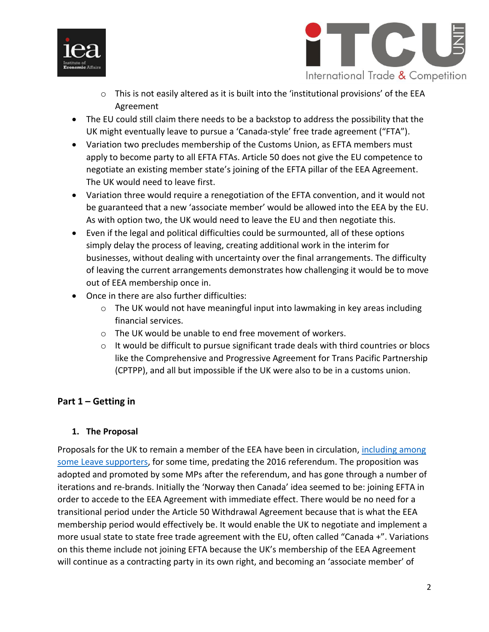



- o This is not easily altered as it is built into the 'institutional provisions' of the EEA Agreement
- The EU could still claim there needs to be a backstop to address the possibility that the UK might eventually leave to pursue a 'Canada-style' free trade agreement ("FTA").
- Variation two precludes membership of the Customs Union, as EFTA members must apply to become party to all EFTA FTAs. Article 50 does not give the EU competence to negotiate an existing member state's joining of the EFTA pillar of the EEA Agreement. The UK would need to leave first.
- Variation three would require a renegotiation of the EFTA convention, and it would not be guaranteed that a new 'associate member' would be allowed into the EEA by the EU. As with option two, the UK would need to leave the EU and then negotiate this.
- Even if the legal and political difficulties could be surmounted, all of these options simply delay the process of leaving, creating additional work in the interim for businesses, without dealing with uncertainty over the final arrangements. The difficulty of leaving the current arrangements demonstrates how challenging it would be to move out of EEA membership once in.
- Once in there are also further difficulties:
	- $\circ$  The UK would not have meaningful input into lawmaking in key areas including financial services.
	- o The UK would be unable to end free movement of workers.
	- $\circ$  It would be difficult to pursue significant trade deals with third countries or blocs like the Comprehensive and Progressive Agreement for Trans Pacific Partnership (CPTPP), and all but impossible if the UK were also to be in a customs union.

# **Part 1 – Getting in**

## **1. The Proposal**

Proposals for the UK to remain a member of the EEA have been in circulation, [including among](http://www.eureferendum.com/documents/flexcit.pdf)  [some Leave supporters,](http://www.eureferendum.com/documents/flexcit.pdf) for some time, predating the 2016 referendum. The proposition was adopted and promoted by some MPs after the referendum, and has gone through a number of iterations and re-brands. Initially the 'Norway then Canada' idea seemed to be: joining EFTA in order to accede to the EEA Agreement with immediate effect. There would be no need for a transitional period under the Article 50 Withdrawal Agreement because that is what the EEA membership period would effectively be. It would enable the UK to negotiate and implement a more usual state to state free trade agreement with the EU, often called "Canada +". Variations on this theme include not joining EFTA because the UK's membership of the EEA Agreement will continue as a contracting party in its own right, and becoming an 'associate member' of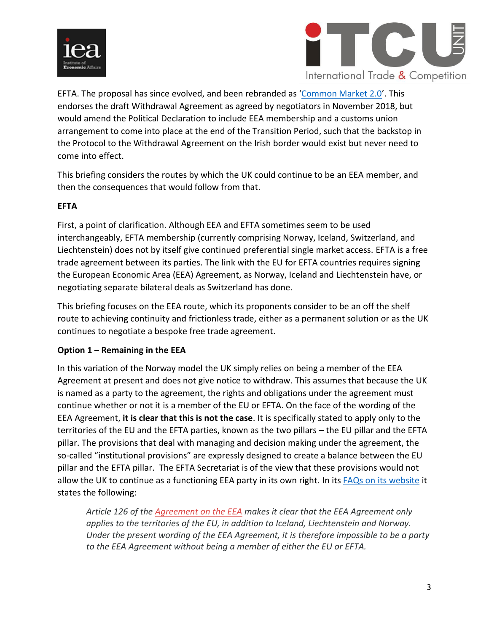



EFTA. The proposal has since evolved, and been rebranded as '[Common Market 2.0](http://betterbrexit.org.uk/)'. This endorses the draft Withdrawal Agreement as agreed by negotiators in November 2018, but would amend the Political Declaration to include EEA membership and a customs union arrangement to come into place at the end of the Transition Period, such that the backstop in the Protocol to the Withdrawal Agreement on the Irish border would exist but never need to come into effect.

This briefing considers the routes by which the UK could continue to be an EEA member, and then the consequences that would follow from that.

## **EFTA**

First, a point of clarification. Although EEA and EFTA sometimes seem to be used interchangeably, EFTA membership (currently comprising Norway, Iceland, Switzerland, and Liechtenstein) does not by itself give continued preferential single market access. EFTA is a free trade agreement between its parties. The link with the EU for EFTA countries requires signing the European Economic Area (EEA) Agreement, as Norway, Iceland and Liechtenstein have, or negotiating separate bilateral deals as Switzerland has done.

This briefing focuses on the EEA route, which its proponents consider to be an off the shelf route to achieving continuity and frictionless trade, either as a permanent solution or as the UK continues to negotiate a bespoke free trade agreement.

## **Option 1 – Remaining in the EEA**

In this variation of the Norway model the UK simply relies on being a member of the EEA Agreement at present and does not give notice to withdraw. This assumes that because the UK is named as a party to the agreement, the rights and obligations under the agreement must continue whether or not it is a member of the EU or EFTA. On the face of the wording of the EEA Agreement, **it is clear that this is not the case**. It is specifically stated to apply only to the territories of the EU and the EFTA parties, known as the two pillars – the EU pillar and the EFTA pillar. The provisions that deal with managing and decision making under the agreement, the so-called "institutional provisions" are expressly designed to create a balance between the EU pillar and the EFTA pillar. The EFTA Secretariat is of the view that these provisions would not allow the UK to continue as a functioning EEA party in its own right. In it[s FAQs on its website](http://dev.efta.int/faq) it states the following:

*Article 126 of the [Agreement on the EEA](http://www.efta.int/eea/eea-agreement) makes it clear that the EEA Agreement only applies to the territories of the EU, in addition to Iceland, Liechtenstein and Norway. Under the present wording of the EEA Agreement, it is therefore impossible to be a party to the EEA Agreement without being a member of either the EU or EFTA.*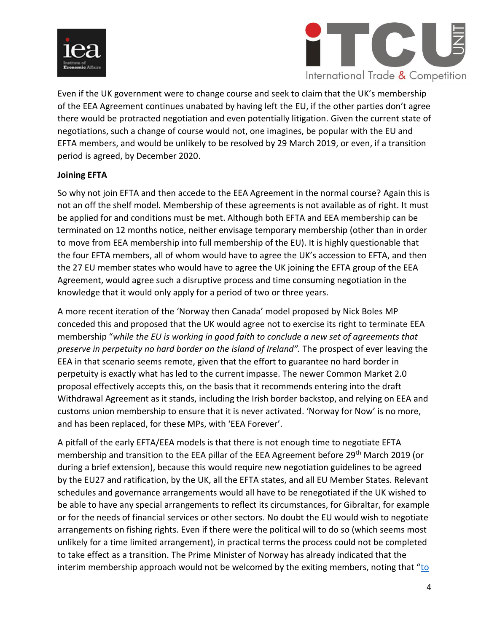



Even if the UK government were to change course and seek to claim that the UK's membership of the EEA Agreement continues unabated by having left the EU, if the other parties don't agree there would be protracted negotiation and even potentially litigation. Given the current state of negotiations, such a change of course would not, one imagines, be popular with the EU and EFTA members, and would be unlikely to be resolved by 29 March 2019, or even, if a transition period is agreed, by December 2020.

#### **Joining EFTA**

So why not join EFTA and then accede to the EEA Agreement in the normal course? Again this is not an off the shelf model. Membership of these agreements is not available as of right. It must be applied for and conditions must be met. Although both EFTA and EEA membership can be terminated on 12 months notice, neither envisage temporary membership (other than in order to move from EEA membership into full membership of the EU). It is highly questionable that the four EFTA members, all of whom would have to agree the UK's accession to EFTA, and then the 27 EU member states who would have to agree the UK joining the EFTA group of the EEA Agreement, would agree such a disruptive process and time consuming negotiation in the knowledge that it would only apply for a period of two or three years.

A more recent iteration of the 'Norway then Canada' model proposed by Nick Boles MP conceded this and proposed that the UK would agree not to exercise its right to terminate EEA membership "*[while the EU is working in good faith to conclude a new set of agreements that](https://www.thetimes.co.uk/article/don-t-panic-if-chequers-gets-chucked-what-works-for-norwegians-would-work-for-us-95lcfh6ls?shareToken=f3f21ef8d371631eb0bb4d55622db7c2)  [preserve in perpetuity no hard border on the island of Ireland](https://www.thetimes.co.uk/article/don-t-panic-if-chequers-gets-chucked-what-works-for-norwegians-would-work-for-us-95lcfh6ls?shareToken=f3f21ef8d371631eb0bb4d55622db7c2)".* The prospect of ever leaving the EEA in that scenario seems remote, given that the effort to guarantee no hard border in perpetuity is exactly what has led to the current impasse. The newer Common Market 2.0 proposal effectively accepts this, on the basis that it recommends entering into the draft Withdrawal Agreement as it stands, including the Irish border backstop, and relying on EEA and customs union membership to ensure that it is never activated. 'Norway for Now' is no more, and has been replaced, for these MPs, with 'EEA Forever'.

A pitfall of the early EFTA/EEA models is that there is not enough time to negotiate EFTA membership and transition to the EEA pillar of the EEA Agreement before 29th March 2019 (or during a brief extension), because this would require new negotiation guidelines to be agreed by the EU27 and ratification, by the UK, all the EFTA states, and all EU Member States. Relevant schedules and governance arrangements would all have to be renegotiated if the UK wished to be able to have any special arrangements to reflect its circumstances, for Gibraltar, for example or for the needs of financial services or other sectors. No doubt the EU would wish to negotiate arrangements on fishing rights. Even if there were the political will to do so (which seems most unlikely for a time limited arrangement), in practical terms the process could not be completed to take effect as a transition. The Prime Minister of Norway has already indicated that the interim membership approach would not be welcomed by the exiting members, noting that "to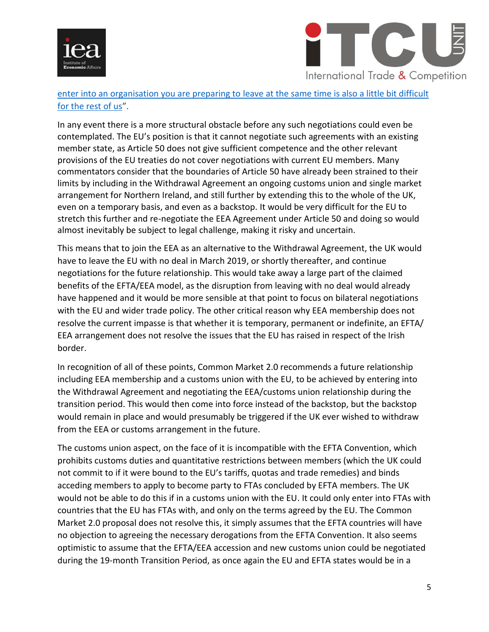



enter into an organisation you are preparing to [leave at the same time is also a little bit difficult](https://www.telegraph.co.uk/politics/2018/10/30/brexit-latest-theresa-may-heads-oslo-nordic-summit-live/)  [for the rest of us](https://www.telegraph.co.uk/politics/2018/10/30/brexit-latest-theresa-may-heads-oslo-nordic-summit-live/)".

In any event there is a more structural obstacle before any such negotiations could even be contemplated. The EU's position is that it cannot negotiate such agreements with an existing member state, as Article 50 does not give sufficient competence and the other relevant provisions of the EU treaties do not cover negotiations with current EU members. Many commentators consider that the boundaries of Article 50 have already been strained to their limits by including in the Withdrawal Agreement an ongoing customs union and single market arrangement for Northern Ireland, and still further by extending this to the whole of the UK, even on a temporary basis, and even as a backstop. It would be very difficult for the EU to stretch this further and re-negotiate the EEA Agreement under Article 50 and doing so would almost inevitably be subject to legal challenge, making it risky and uncertain.

This means that to join the EEA as an alternative to the Withdrawal Agreement, the UK would have to leave the EU with no deal in March 2019, or shortly thereafter, and continue negotiations for the future relationship. This would take away a large part of the claimed benefits of the EFTA/EEA model, as the disruption from leaving with no deal would already have happened and it would be more sensible at that point to focus on bilateral negotiations with the EU and wider trade policy. The other critical reason why EEA membership does not resolve the current impasse is that whether it is temporary, permanent or indefinite, an EFTA/ EEA arrangement does not resolve the issues that the EU has raised in respect of the Irish border.

In recognition of all of these points, Common Market 2.0 recommends a future relationship including EEA membership and a customs union with the EU, to be achieved by entering into the Withdrawal Agreement and negotiating the EEA/customs union relationship during the transition period. This would then come into force instead of the backstop, but the backstop would remain in place and would presumably be triggered if the UK ever wished to withdraw from the EEA or customs arrangement in the future.

The customs union aspect, on the face of it is incompatible with the EFTA Convention, which prohibits customs duties and quantitative restrictions between members (which the UK could not commit to if it were bound to the EU's tariffs, quotas and trade remedies) and binds acceding members to apply to become party to FTAs concluded by EFTA members. The UK would not be able to do this if in a customs union with the EU. It could only enter into FTAs with countries that the EU has FTAs with, and only on the terms agreed by the EU. The Common Market 2.0 proposal does not resolve this, it simply assumes that the EFTA countries will have no objection to agreeing the necessary derogations from the EFTA Convention. It also seems optimistic to assume that the EFTA/EEA accession and new customs union could be negotiated during the 19-month Transition Period, as once again the EU and EFTA states would be in a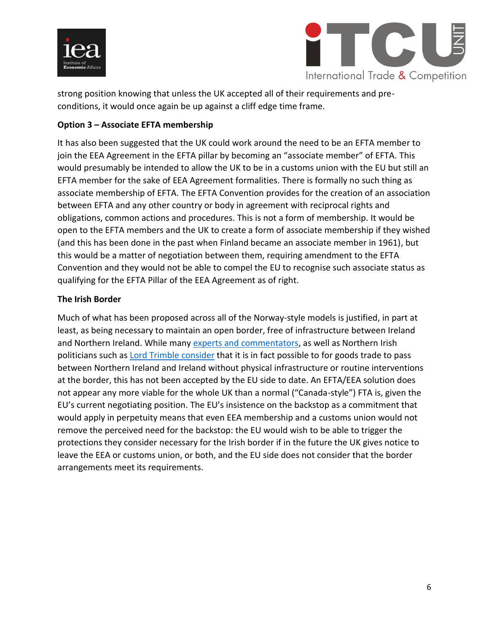



strong position knowing that unless the UK accepted all of their requirements and preconditions, it would once again be up against a cliff edge time frame.

## **Option 3 – Associate EFTA membership**

It has also been suggested that the UK could work around the need to be an EFTA member to join the EEA Agreement in the EFTA pillar by becoming an "associate member" of EFTA. This would presumably be intended to allow the UK to be in a customs union with the EU but still an EFTA member for the sake of EEA Agreement formalities. There is formally no such thing as associate membership of EFTA. The EFTA Convention provides for the creation of an association between EFTA and any other country or body in agreement with reciprocal rights and obligations, common actions and procedures. This is not a form of membership. It would be open to the EFTA members and the UK to create a form of associate membership if they wished (and this has been done in the past when Finland became an associate member in 1961), but this would be a matter of negotiation between them, requiring amendment to the EFTA Convention and they would not be able to compel the EU to recognise such associate status as qualifying for the EFTA Pillar of the EEA Agreement as of right.

## **The Irish Border**

Much of what has been proposed across all of the Norway-style models is justified, in part at least, as being necessary to maintain an open border, free of infrastructure between Ireland and Northern Ireland. While many [experts and commentators,](https://www.parliament.uk/business/committees/committees-a-z/commons-select/northern-ireland-affairs-committee/news-parliament-2017/land-border-follow-up-evidence-17-19/) as well as Northern Irish politicians such as **[Lord Trimble consider](https://www.belfasttelegraph.co.uk/news/northern-ireland/lord-trimble-attacks-dublin-brexit-stance-claiming-it-is-damaging-good-friday-agreement-37482638.html) that it is in fact possible to for goods trade to pass** between Northern Ireland and Ireland without physical infrastructure or routine interventions at the border, this has not been accepted by the EU side to date. An EFTA/EEA solution does not appear any more viable for the whole UK than a normal ("Canada-style") FTA is, given the EU's current negotiating position. The EU's insistence on the backstop as a commitment that would apply in perpetuity means that even EEA membership and a customs union would not remove the perceived need for the backstop: the EU would wish to be able to trigger the protections they consider necessary for the Irish border if in the future the UK gives notice to leave the EEA or customs union, or both, and the EU side does not consider that the border arrangements meet its requirements.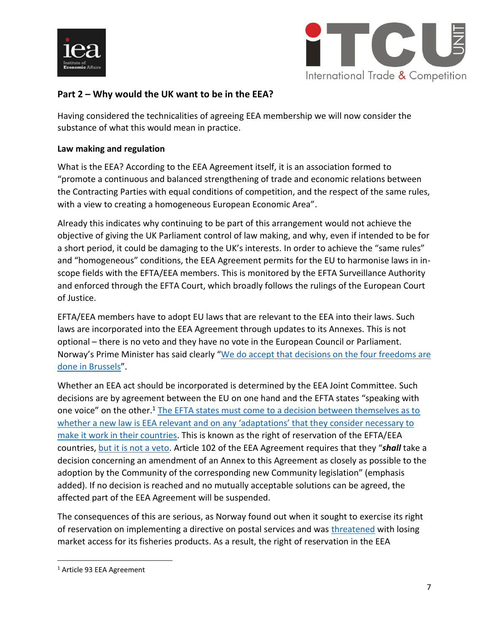



## **Part 2 – Why would the UK want to be in the EEA?**

Having considered the technicalities of agreeing EEA membership we will now consider the substance of what this would mean in practice.

#### **Law making and regulation**

What is the EEA? According to the EEA Agreement itself, it is an association formed to "promote a continuous and balanced strengthening of trade and economic relations between the Contracting Parties with equal conditions of competition, and the respect of the same rules, with a view to creating a homogeneous European Economic Area".

Already this indicates why continuing to be part of this arrangement would not achieve the objective of giving the UK Parliament control of law making, and why, even if intended to be for a short period, it could be damaging to the UK's interests. In order to achieve the "same rules" and "homogeneous" conditions, the EEA Agreement permits for the EU to harmonise laws in inscope fields with the EFTA/EEA members. This is monitored by the EFTA Surveillance Authority and enforced through the EFTA Court, which broadly follows the rulings of the European Court of Justice.

EFTA/EEA members have to adopt EU laws that are relevant to the EEA into their laws. Such laws are incorporated into the EEA Agreement through updates to its Annexes. This is not optional – there is no veto and they have no vote in the European Council or Parliament. Norway's Prime Minister has said clearly "[We do accept that decisions on the four freedoms are](https://www.politico.eu/article/norwegian-pm-uk-cannot-cherry-pick-eu-membership/)  [done in Brussels](https://www.politico.eu/article/norwegian-pm-uk-cannot-cherry-pick-eu-membership/)".

Whether an EEA act should be incorporated is determined by the EEA Joint Committee. Such decisions are by agreement between the EU on one hand and the EFTA states "speaking with one voice" on the other.<sup>1</sup> The EFTA states must come to a decision between themselves as to [whether a new law is EEA relevant and on any 'adaptations' that th](http://www.efta.int/sites/default/files/documents/eea/eea-institutions/The-Two-Pillar-Structure-Incorporation-of-new-EUacts.pdf)ey consider necessary to [make it work in their countries.](http://www.efta.int/sites/default/files/documents/eea/eea-institutions/The-Two-Pillar-Structure-Incorporation-of-new-EUacts.pdf) This is known as the right of reservation of the EFTA/EEA countries, [but it is not a veto.](https://www.stortinget.no/en/In-English/International-delegations/The-Delegation-to-EFTA-and-EEA-Parliamentary-Committees/eueea-work/) Article 102 of the EEA Agreement requires that they "*shall* take a decision concerning an amendment of an Annex to this Agreement as closely as possible to the adoption by the Community of the corresponding new Community legislation" (emphasis added). If no decision is reached and no mutually acceptable solutions can be agreed, the affected part of the EEA Agreement will be suspended.

The consequences of this are serious, as Norway found out when it sought to exercise its right of reservation on implementing a directive on postal services and was [threatened](https://www.euractiv.com/section/trade-society/news/eu-threatens-to-punish-norway-for-breaching-eea-agreement/) with losing market access for its fisheries products. As a result, the right of reservation in the EEA

 $\overline{\phantom{a}}$ 

<sup>1</sup> Article 93 EEA Agreement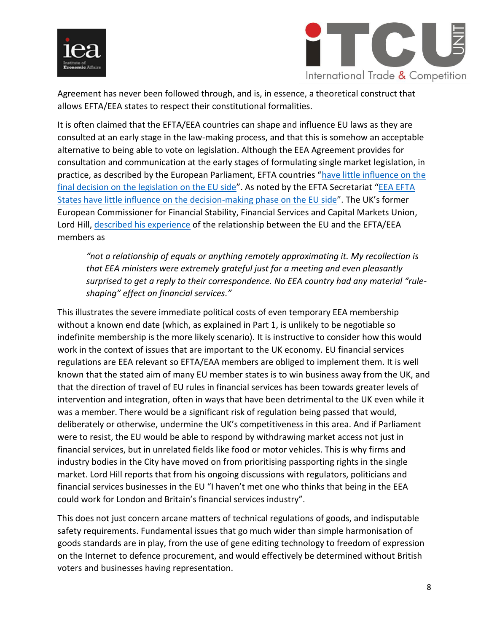



Agreement has never been followed through, and is, in essence, a theoretical construct that allows EFTA/EEA states to respect their constitutional formalities.

It is often claimed that the EFTA/EEA countries can shape and influence EU laws as they are consulted at an early stage in the law-making process, and that this is somehow an acceptable alternative to being able to vote on legislation. Although the EEA Agreement provides for consultation and communication at the early stages of formulating single market legislation, in practice, as described by the European Parliament, EFTA countries "have little influence on the [final decision on the legislation on the EU side](http://www.europarl.europa.eu/document/activities/cont/201108/20110818ATT25100/20110818ATT25100EN.pdf)". As noted by the EFTA Secretariat "EEA EFTA [States have little influence on the decision-making phase on the EU side](http://www.efta.int/eea/decision-shaping)". The UK's former European Commissioner for Financial Stability, Financial Services and Capital Markets Union, Lord Hill, [described his experience](https://www.ft.com/content/9de3706a-15ad-11e9-a581-4ff78404524e) of the relationship between the EU and the EFTA/EEA members as

*"not a relationship of equals or anything remotely approximating it. My recollection is that EEA ministers were extremely grateful just for a meeting and even pleasantly surprised to get a reply to their correspondence. No EEA country had any material "ruleshaping" effect on financial services."*

This illustrates the severe immediate political costs of even temporary EEA membership without a known end date (which, as explained in Part 1, is unlikely to be negotiable so indefinite membership is the more likely scenario). It is instructive to consider how this would work in the context of issues that are important to the UK economy. EU financial services regulations are EEA relevant so EFTA/EAA members are obliged to implement them. It is well known that the stated aim of many EU member states is to win business away from the UK, and that the direction of travel of EU rules in financial services has been towards greater levels of intervention and integration, often in ways that have been detrimental to the UK even while it was a member. There would be a significant risk of regulation being passed that would, deliberately or otherwise, undermine the UK's competitiveness in this area. And if Parliament were to resist, the EU would be able to respond by withdrawing market access not just in financial services, but in unrelated fields like food or motor vehicles. This is why firms and industry bodies in the City have moved on from prioritising passporting rights in the single market. Lord Hill reports that from his ongoing discussions with regulators, politicians and financial services businesses in the EU "I haven't met one who thinks that being in the EEA could work for London and Britain's financial services industry".

This does not just concern arcane matters of technical regulations of goods, and indisputable safety requirements. Fundamental issues that go much wider than simple harmonisation of goods standards are in play, from the use of gene editing technology to freedom of expression on the Internet to defence procurement, and would effectively be determined without British voters and businesses having representation.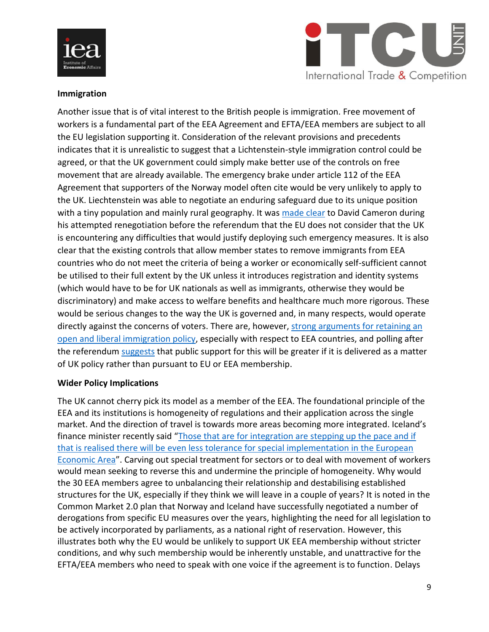



#### **Immigration**

Another issue that is of vital interest to the British people is immigration. Free movement of workers is a fundamental part of the EEA Agreement and EFTA/EEA members are subject to all the EU legislation supporting it. Consideration of the relevant provisions and precedents indicates that it is unrealistic to suggest that a Lichtenstein-style immigration control could be agreed, or that the UK government could simply make better use of the controls on free movement that are already available. The emergency brake under article 112 of the EEA Agreement that supporters of the Norway model often cite would be very unlikely to apply to the UK. Liechtenstein was able to negotiate an enduring safeguard due to its unique position with a tiny population and mainly rural geography. It was [made clear](https://www.politico.eu/article/why-we-lost-the-brexit-vote-former-uk-prime-minister-david-cameron/) to David Cameron during his attempted renegotiation before the referendum that the EU does not consider that the UK is encountering any difficulties that would justify deploying such emergency measures. It is also clear that the existing controls that allow member states to remove immigrants from EEA countries who do not meet the criteria of being a worker or economically self-sufficient cannot be utilised to their full extent by the UK unless it introduces registration and identity systems (which would have to be for UK nationals as well as immigrants, otherwise they would be discriminatory) and make access to welfare benefits and healthcare much more rigorous. These would be serious changes to the way the UK is governed and, in many respects, would operate directly against the concerns of voters. There are, however, strong arguments for retaining an [open and liberal immigration policy,](https://iea.org.uk/publications/immigration-picking-the-low-hanging-fruits/) especially with respect to EEA countries, and polling after the referendum [suggests](https://www.ipsos.com/ipsos-mori/en-uk/attitudes-immigration-have-softened-referendum-most-still-want-see-it-reduced) that public support for this will be greater if it is delivered as a matter of UK policy rather than pursuant to EU or EEA membership.

#### **Wider Policy Implications**

The UK cannot cherry pick its model as a member of the EEA. The foundational principle of the EEA and its institutions is homogeneity of regulations and their application across the single market. And the direction of travel is towards more areas becoming more integrated. Iceland's finance minister recently said "[Those that are for integration are stepping up the pace and if](https://www.telegraph.co.uk/politics/2018/04/23/eu-views-independence-nuisance-iceland-warns/)  [that is realised there will be even less tolerance for special implementation in the European](https://www.telegraph.co.uk/politics/2018/04/23/eu-views-independence-nuisance-iceland-warns/)  [Economic Area](https://www.telegraph.co.uk/politics/2018/04/23/eu-views-independence-nuisance-iceland-warns/)". Carving out special treatment for sectors or to deal with movement of workers would mean seeking to reverse this and undermine the principle of homogeneity. Why would the 30 EEA members agree to unbalancing their relationship and destabilising established structures for the UK, especially if they think we will leave in a couple of years? It is noted in the Common Market 2.0 plan that Norway and Iceland have successfully negotiated a number of derogations from specific EU measures over the years, highlighting the need for all legislation to be actively incorporated by parliaments, as a national right of reservation. However, this illustrates both why the EU would be unlikely to support UK EEA membership without stricter conditions, and why such membership would be inherently unstable, and unattractive for the EFTA/EEA members who need to speak with one voice if the agreement is to function. Delays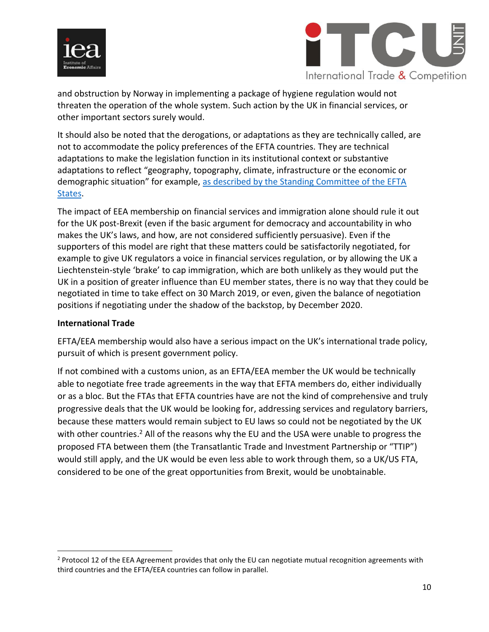



and obstruction by Norway in implementing a package of hygiene regulation would not threaten the operation of the whole system. Such action by the UK in financial services, or other important sectors surely would.

It should also be noted that the derogations, or adaptations as they are technically called, are not to accommodate the policy preferences of the EFTA countries. They are technical adaptations to make the legislation function in its institutional context or substantive adaptations to reflect "geography, topography, climate, infrastructure or the economic or demographic situation" for example, as described by the Standing Committee of the EFTA [States.](http://www.efta.int/media/documents/eea/1113623-How-EU-acts-become-EEA-acts.pdf)

The impact of EEA membership on financial services and immigration alone should rule it out for the UK post-Brexit (even if the basic argument for democracy and accountability in who makes the UK's laws, and how, are not considered sufficiently persuasive). Even if the supporters of this model are right that these matters could be satisfactorily negotiated, for example to give UK regulators a voice in financial services regulation, or by allowing the UK a Liechtenstein-style 'brake' to cap immigration, which are both unlikely as they would put the UK in a position of greater influence than EU member states, there is no way that they could be negotiated in time to take effect on 30 March 2019, or even, given the balance of negotiation positions if negotiating under the shadow of the backstop, by December 2020.

#### **International Trade**

 $\overline{\phantom{a}}$ 

EFTA/EEA membership would also have a serious impact on the UK's international trade policy, pursuit of which is present government policy.

If not combined with a customs union, as an EFTA/EEA member the UK would be technically able to negotiate free trade agreements in the way that EFTA members do, either individually or as a bloc. But the FTAs that EFTA countries have are not the kind of comprehensive and truly progressive deals that the UK would be looking for, addressing services and regulatory barriers, because these matters would remain subject to EU laws so could not be negotiated by the UK with other countries.<sup>2</sup> All of the reasons why the EU and the USA were unable to progress the proposed FTA between them (the Transatlantic Trade and Investment Partnership or "TTIP") would still apply, and the UK would be even less able to work through them, so a UK/US FTA, considered to be one of the great opportunities from Brexit, would be unobtainable.

 $<sup>2</sup>$  Protocol 12 of the EEA Agreement provides that only the EU can negotiate mutual recognition agreements with</sup> third countries and the EFTA/EEA countries can follow in parallel.